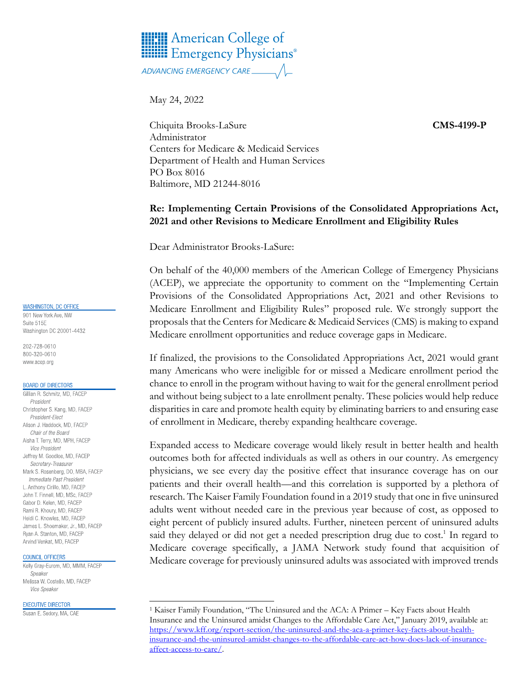# **HERE** American College of **Hilli Emergency Physicians**®

May 24, 2022

Chiquita Brooks-LaSure **CMS-4199-P** Administrator Centers for Medicare & Medicaid Services Department of Health and Human Services PO Box 8016 Baltimore, MD 21244-8016

## **Re: Implementing Certain Provisions of the Consolidated Appropriations Act, 2021 and other Revisions to Medicare Enrollment and Eligibility Rules**

Dear Administrator Brooks-LaSure:

On behalf of the 40,000 members of the American College of Emergency Physicians (ACEP), we appreciate the opportunity to comment on the "Implementing Certain Provisions of the Consolidated Appropriations Act, 2021 and other Revisions to Medicare Enrollment and Eligibility Rules" proposed rule. We strongly support the proposals that the Centers for Medicare & Medicaid Services (CMS) is making to expand Medicare enrollment opportunities and reduce coverage gaps in Medicare.

If finalized, the provisions to the Consolidated Appropriations Act, 2021 would grant many Americans who were ineligible for or missed a Medicare enrollment period the chance to enroll in the program without having to wait for the general enrollment period and without being subject to a late enrollment penalty. These policies would help reduce disparities in care and promote health equity by eliminating barriers to and ensuring ease of enrollment in Medicare, thereby expanding healthcare coverage.

Expanded access to Medicare coverage would likely result in better health and health outcomes both for affected individuals as well as others in our country. As emergency physicians, we see every day the positive effect that insurance coverage has on our patients and their overall health—and this correlation is supported by a plethora of research. The Kaiser Family Foundation found in a 2019 study that one in five uninsured adults went without needed care in the previous year because of cost, as opposed to eight percent of publicly insured adults. Further, nineteen percent of uninsured adults said they delayed or did not get a needed prescription drug due to cost.<sup>1</sup> In regard to Medicare coverage specifically, a JAMA Network study found that acquisition of Medicare coverage for previously uninsured adults was associated with improved trends

#### **WASHINGTON, DC OFFICE**

901 New York Ave, NW Suite 515F Washington DC 20001-4432

202-728-0610 800-320-0610 www.acep.org

#### **BOARD OF DIRECTORS**

Gillian R. Schmitz, MD, FACEP President Christopher S. Kang, MD, FACEP President-Elect Alison J. Haddock, MD, FACEP Chair of the Board Aisha T. Terry, MD, MPH, FACEP Vice President Jeffrey M. Goodloe, MD, FACEP Secretary-Treasurer Mark S. Rosenberg, DO, MBA, FACEP Immediate Past President L. Anthony Cirillo, MD, FACEP John T. Finnell, MD, MSc, FACEP Gabor D. Kelen, MD, FACEP Rami R. Khoury, MD, FACEP Heidi C. Knowles, MD, FACEP James L. Shoemaker, Jr., MD. FACEP Ryan A. Stanton, MD, FACEP Arvind Venkat, MD, FACEP

### COUNCIL OFFICERS

Kelly Gray-Eurom, MD, MMM, FACEP Speaker Melissa W. Costello, MD, FACEP Vice Speaker

#### **EXECUTIVE DIRECTOR**

Susan E. Sedory, MA, CAE

<sup>&</sup>lt;sup>1</sup> Kaiser Family Foundation, "The Uninsured and the ACA: A Primer - Key Facts about Health Insurance and the Uninsured amidst Changes to the Affordable Care Act," January 2019, available at: [https://www.kff.org/report-section/the-uninsured-and-the-aca-a-primer-key-facts-about-health](https://www.kff.org/report-section/the-uninsured-and-the-aca-a-primer-key-facts-about-health-insurance-and-the-uninsured-amidst-changes-to-the-affordable-care-act-how-does-lack-of-insurance-affect-access-to-care/)[insurance-and-the-uninsured-amidst-changes-to-the-affordable-care-act-how-does-lack-of-insurance](https://www.kff.org/report-section/the-uninsured-and-the-aca-a-primer-key-facts-about-health-insurance-and-the-uninsured-amidst-changes-to-the-affordable-care-act-how-does-lack-of-insurance-affect-access-to-care/)[affect-access-to-care/.](https://www.kff.org/report-section/the-uninsured-and-the-aca-a-primer-key-facts-about-health-insurance-and-the-uninsured-amidst-changes-to-the-affordable-care-act-how-does-lack-of-insurance-affect-access-to-care/)